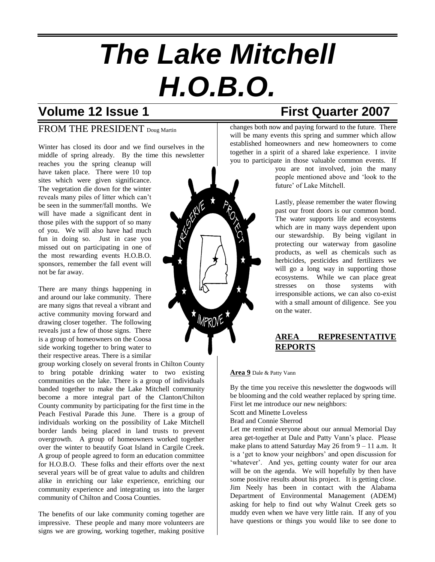# *The Lake Mitchell H.O.B.O.*

## **Volume 12 Issue 1 First Quarter 2007**

### FROM THE PRESIDENT Doug Martin

Winter has closed its door and we find ourselves in the middle of spring already. By the time this newsletter

reaches you the spring cleanup will have taken place. There were 10 top sites which were given significance. The vegetation die down for the winter reveals many piles of litter which can't be seen in the summer/fall months. We will have made a significant dent in those piles with the support of so many of you. We will also have had much fun in doing so. Just in case you missed out on participating in one of the most rewarding events H.O.B.O. sponsors, remember the fall event will not be far away.

There are many things happening in and around our lake community. There are many signs that reveal a vibrant and active community moving forward and drawing closer together. The following reveals just a few of those signs. There is a group of homeowners on the Coosa side working together to bring water to their respective areas. There is a similar

group working closely on several fronts in Chilton County to bring potable drinking water to two existing communities on the lake. There is a group of individuals banded together to make the Lake Mitchell community become a more integral part of the Clanton/Chilton County community by participating for the first time in the Peach Festival Parade this June. There is a group of individuals working on the possibility of Lake Mitchell border lands being placed in land trusts to prevent overgrowth. A group of homeowners worked together over the winter to beautify Goat Island in Cargile Creek. A group of people agreed to form an education committee for H.O.B.O. These folks and their efforts over the next several years will be of great value to adults and children alike in enriching our lake experience, enriching our community experience and integrating us into the larger community of Chilton and Coosa Counties.

The benefits of our lake community coming together are impressive. These people and many more volunteers are signs we are growing, working together, making positive



changes both now and paying forward to the future. There will be many events this spring and summer which allow established homeowners and new homeowners to come together in a spirit of a shared lake experience. I invite you to participate in those valuable common events. If

you are not involved, join the many people mentioned above and 'look to the future' of Lake Mitchell.

Lastly, please remember the water flowing past our front doors is our common bond. The water supports life and ecosystems which are in many ways dependent upon our stewardship. By being vigilant in protecting our waterway from gasoline products, as well as chemicals such as herbicides, pesticides and fertilizers we will go a long way in supporting those ecosystems. While we can place great stresses on those systems with irresponsible actions, we can also co-exist with a small amount of diligence. See you on the water.

#### **AREA REPRESENTATIVE REPORTS**

#### **Area 9** Dale & Patty Vann

By the time you receive this newsletter the dogwoods will be blooming and the cold weather replaced by spring time. First let me introduce our new neighbors:

Scott and Minette Loveless

Brad and Connie Sherrod

Let me remind everyone about our annual Memorial Day area get-together at Dale and Patty Vann's place. Please make plans to attend Saturday May 26 from 9 – 11 a.m. It is a 'get to know your neighbors' and open discussion for 'whatever'. And yes, getting county water for our area will be on the agenda. We will hopefully by then have some positive results about his project. It is getting close. Jim Neely has been in contact with the Alabama Department of Environmental Management (ADEM) asking for help to find out why Walnut Creek gets so muddy even when we have very little rain. If any of you have questions or things you would like to see done to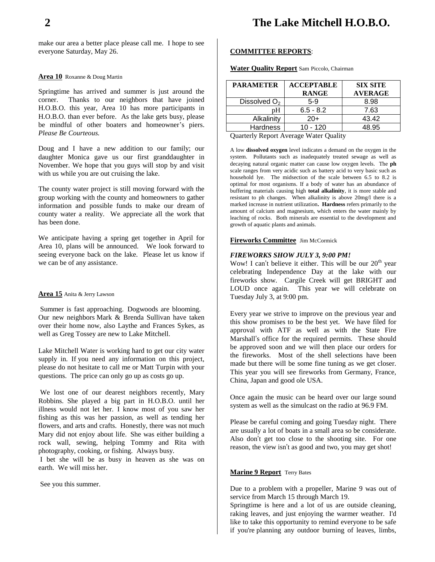make our area a better place please call me. I hope to see everyone Saturday, May 26.

#### **Area 10** Roxanne & Doug Martin

Springtime has arrived and summer is just around the corner. Thanks to our neighbors that have joined H.O.B.O. this year, Area 10 has more participants in H.O.B.O. than ever before. As the lake gets busy, please be mindful of other boaters and homeowner's piers. *Please Be Courteous.* 

Doug and I have a new addition to our family; our daughter Monica gave us our first granddaughter in November. We hope that you guys will stop by and visit with us while you are out cruising the lake.

The county water project is still moving forward with the group working with the county and homeowners to gather information and possible funds to make our dream of county water a reality. We appreciate all the work that has been done.

We anticipate having a spring get together in April for Area 10, plans will be announced. We look forward to seeing everyone back on the lake. Please let us know if we can be of any assistance.

#### **Area 15** Anita & Jerry Lawson

Summer is fast approaching. Dogwoods are blooming. Our new neighbors Mark & Brenda Sullivan have taken over their home now, also Laythe and Frances Sykes, as well as Greg Tossey are new to Lake Mitchell.

Lake Mitchell Water is working hard to get our city water supply in. If you need any information on this project, please do not hesitate to call me or Matt Turpin with your questions. The price can only go up as costs go up.

We lost one of our dearest neighbors recently, Mary Robbins. She played a big part in H.O.B.O. until her illness would not let her. I know most of you saw her fishing as this was her passion, as well as tending her flowers, and arts and crafts. Honestly, there was not much Mary did not enjoy about life. She was either building a rock wall, sewing, helping Tommy and Rita with photography, cooking, or fishing. Always busy.

I bet she will be as busy in heaven as she was on earth. We will miss her.

See you this summer.

#### **COMMITTEE REPORTS**:

**Water Quality Report** Sam Piccolo, Chairman

| <b>PARAMETER</b>         | <b>ACCEPTABLE</b><br><b>RANGE</b> | <b>SIX SITE</b><br><b>AVERAGE</b> |
|--------------------------|-----------------------------------|-----------------------------------|
| Dissolved O <sub>2</sub> | $5-9$                             | 8.98                              |
| pН                       | $6.5 - 8.2$                       | 7.63                              |
| Alkalinity               | $20+$                             | 43.42                             |
| <b>Hardness</b>          | 10 - 120                          | 48.95                             |

Quarterly Report Average Water Quality

A low **dissolved oxygen** level indicates a demand on the oxygen in the system. Pollutants such as inadequately treated sewage as well as decaying natural organic matter can cause low oxygen levels. The **ph** scale ranges from very acidic such as battery acid to very basic such as household lye. The midsection of the scale between 6.5 to 8.2 is optimal for most organisms. If a body of water has an abundance of buffering materials causing high **total alkalinity**, it is more stable and resistant to ph changes. When alkalinity is above 20mg/l there is a marked increase in nutrient utilization**. Hardness** refers primarily to the amount of calcium and magnesium, which enters the water mainly by leaching of rocks. Both minerals are essential to the development and growth of aquatic plants and animals.

#### **Fireworks Committee** Jim McCormick

#### *FIREWORKS SHOW JULY 3, 9:00 PM!*

Wow! I can't believe it either. This will be our  $20<sup>th</sup>$  year celebrating Independence Day at the lake with our fireworks show. Cargile Creek will get BRIGHT and LOUD once again. This year we will celebrate on Tuesday July 3, at 9:00 pm.

Every year we strive to improve on the previous year and this show promises to be the best yet. We have filed for approval with ATF as well as with the State Fire Marshall's office for the required permits. These should be approved soon and we will then place our orders for the fireworks. Most of the shell selections have been made but there will be some fine tuning as we get closer. This year you will see fireworks from Germany, France, China, Japan and good ole USA.

Once again the music can be heard over our large sound system as well as the simulcast on the radio at 96.9 FM.

Please be careful coming and going Tuesday night. There are usually a lot of boats in a small area so be considerate. Also don't get too close to the shooting site. For one reason, the view isn't as good and two, you may get shot!

#### **Marine 9 Report** Terry Bates

Due to a problem with a propeller, Marine 9 was out of service from March 15 through March 19.

Springtime is here and a lot of us are outside cleaning, raking leaves, and just enjoying the warmer weather. I'd like to take this opportunity to remind everyone to be safe if you're planning any outdoor burning of leaves, limbs,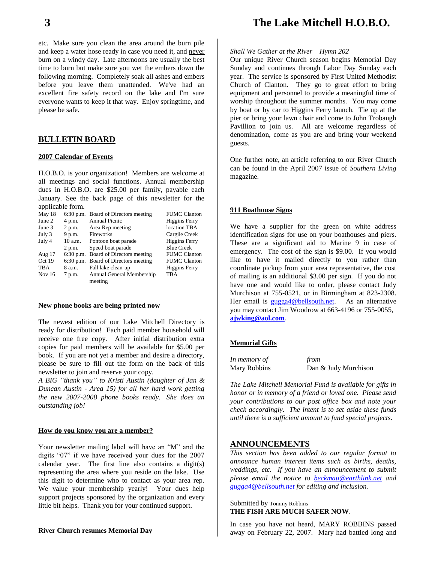etc. Make sure you clean the area around the burn pile and keep a water hose ready in case you need it, and never burn on a windy day. Late afternoons are usually the best time to burn but make sure you wet the embers down the following morning. Completely soak all ashes and embers before you leave them unattended. We've had an excellent fire safety record on the lake and I'm sure everyone wants to keep it that way. Enjoy springtime, and please be safe.

#### **BULLETIN BOARD**

#### **2007 Calendar of Events**

H.O.B.O. is your organization! Members are welcome at all meetings and social functions. Annual membership dues in H.O.B.O. are \$25.00 per family, payable each January. See the back page of this newsletter for the applicable form.

|         |                           | <b>FUMC Clanton</b>                                                                                                  |
|---------|---------------------------|----------------------------------------------------------------------------------------------------------------------|
| 4 p.m.  | <b>Annual Picnic</b>      | Higgins Ferry                                                                                                        |
| 2 p.m.  | Area Rep meeting          | location TBA                                                                                                         |
| 9 p.m.  | Fireworks                 | Cargile Creek                                                                                                        |
| 10 a.m. | Pontoon boat parade       | <b>Higgins Ferry</b>                                                                                                 |
| 2 p.m.  | Speed boat parade         | <b>Blue Creek</b>                                                                                                    |
|         |                           | <b>FUMC Clanton</b>                                                                                                  |
|         |                           | <b>FUMC Clanton</b>                                                                                                  |
| 8 a.m.  | Fall lake clean-up        | Higgins Ferry                                                                                                        |
| 7 p.m.  | Annual General Membership | <b>TBA</b>                                                                                                           |
|         | meeting                   |                                                                                                                      |
|         |                           | 6:30 p.m. Board of Directors meeting<br>6:30 p.m. Board of Directors meeting<br>6:30 p.m. Board of Directors meeting |

#### **New phone books are being printed now**

The newest edition of our Lake Mitchell Directory is ready for distribution! Each paid member household will receive one free copy. After initial distribution extra copies for paid members will be available for \$5.00 per book. If you are not yet a member and desire a directory, please be sure to fill out the form on the back of this newsletter to join and reserve your copy.

*A BIG "thank you" to Kristi Austin (daughter of Jan & Duncan Austin - Area 15) for all her hard work getting the new 2007-2008 phone books ready. She does an outstanding job!*

#### **How do you know you are a member?**

Your newsletter mailing label will have an "M" and the digits "07" if we have received your dues for the 2007 calendar year. The first line also contains a digit(s) representing the area where you reside on the lake. Use this digit to determine who to contact as your area rep. We value your membership yearly! Your dues help support projects sponsored by the organization and every little bit helps. Thank you for your continued support.

#### **River Church resumes Memorial Day**

## **3 The Lake Mitchell H.O.B.O.**

#### *Shall We Gather at the River – Hymn 202*

Our unique River Church season begins Memorial Day Sunday and continues through Labor Day Sunday each year. The service is sponsored by First United Methodist Church of Clanton. They go to great effort to bring equipment and personnel to provide a meaningful time of worship throughout the summer months. You may come by boat or by car to Higgins Ferry launch. Tie up at the pier or bring your lawn chair and come to John Trobaugh Pavillion to join us. All are welcome regardless of denomination, come as you are and bring your weekend guests.

One further note, an article referring to our River Church can be found in the April 2007 issue of *Southern Living* magazine.

#### **911 Boathouse Signs**

We have a supplier for the green on white address identification signs for use on your boathouses and piers. These are a significant aid to Marine 9 in case of emergency. The cost of the sign is \$9.00. If you would like to have it mailed directly to you rather than coordinate pickup from your area representative, the cost of mailing is an additional \$3.00 per sign. If you do not have one and would like to order, please contact Judy Murchison at 755-0521, or in Birmingham at 823-2308. Her email is [gugga4@bellsouth.net.](mailto:gugga4@bellsouth.net) As an alternative you may contact Jim Woodrow at 663-4196 or 755-0055, **[ajwking@aol.com](mailto:ajwking@aol.com)**.

#### **Memorial Gifts**

| In memory of | from                 |
|--------------|----------------------|
| Mary Robbins | Dan & Judy Murchison |

*The Lake Mitchell Memorial Fund is available for gifts in honor or in memory of a friend or loved one. Please send your contributions to our post office box and note your check accordingly. The intent is to set aside these funds until there is a sufficient amount to fund special projects.*

#### **ANNOUNCEMENTS**

*This section has been added to our regular format to announce human interest items such as births, deaths, weddings, etc. If you have an announcement to submit please email the notice to [beckmau@earthlink.net](mailto:beckmau@earthlink.net) and [gugga4@bellsouth.net](mailto:gugga4@bellsouth.net) for editing and inclusion.*

Submitted by Tommy Robbins **THE FISH ARE MUCH SAFER NOW**.

In case you have not heard, MARY ROBBINS passed away on February 22, 2007. Mary had battled long and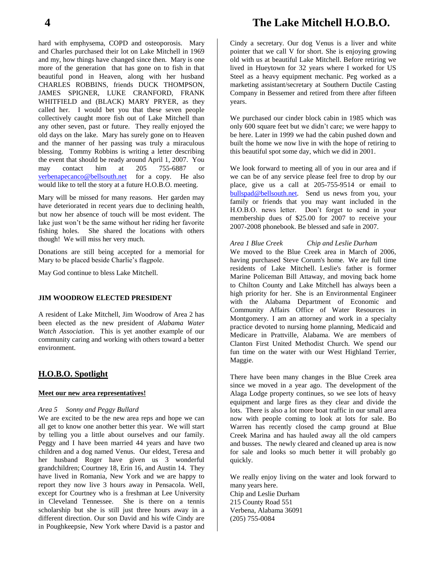hard with emphysema, COPD and osteoporosis. Mary and Charles purchased their lot on Lake Mitchell in 1969 and my, how things have changed since then. Mary is one more of the generation that has gone on to fish in that beautiful pond in Heaven, along with her husband CHARLES ROBBINS, friends DUCK THOMPSON, JAMES SPIGNER, LUKE CRANFORD, FRANK WHITFIELD and (BLACK) MARY PRYER, as they called her. I would bet you that these seven people collectively caught more fish out of Lake Mitchell than any other seven, past or future. They really enjoyed the old days on the lake. Mary has surely gone on to Heaven and the manner of her passing was truly a miraculous blessing. Tommy Robbins is writing a letter describing the event that should be ready around April 1, 2007. You may contact him at 205 755-6887 or [verbenapecanco@bellsouth.net](mailto:verbenapecanco@bellsouth.net) for a copy. He also would like to tell the story at a future H.O.B.O. meeting.

Mary will be missed for many reasons. Her garden may have deteriorated in recent years due to declining health, but now her absence of touch will be most evident. The lake just won't be the same without her riding her favorite fishing holes. She shared the locations with others though! We will miss her very much.

Donations are still being accepted for a memorial for Mary to be placed beside Charlie's flagpole.

May God continue to bless Lake Mitchell.

#### **JIM WOODROW ELECTED PRESIDENT**

A resident of Lake Mitchell, Jim Woodrow of Area 2 has been elected as the new president of *Alabama Water Watch Association*. This is yet another example of our community caring and working with others toward a better environment.

#### **H.O.B.O. Spotlight**

#### **Meet our new area representatives!**

#### *Area 5 Sonny and Peggy Bullard*

We are excited to be the new area reps and hope we can all get to know one another better this year. We will start by telling you a little about ourselves and our family. Peggy and I have been married 44 years and have two children and a dog named Venus. Our eldest, Teresa and her husband Roger have given us 3 wonderful grandchildren; Courtney 18, Erin 16, and Austin 14. They have lived in Romania, New York and we are happy to report they now live 3 hours away in Pensacola. Well, except for Courtney who is a freshman at Lee University in Cleveland Tennessee. She is there on a tennis scholarship but she is still just three hours away in a different direction. Our son David and his wife Cindy are in Poughkeepsie, New York where David is a pastor and

## **4 The Lake Mitchell H.O.B.O.**

Cindy a secretary. Our dog Venus is a liver and white pointer that we call V for short. She is enjoying growing old with us at beautiful Lake Mitchell. Before retiring we lived in Hueytown for 32 years where I worked for US Steel as a heavy equipment mechanic. Peg worked as a marketing assistant/secretary at Southern Ductile Casting Company in Bessemer and retired from there after fifteen years.

We purchased our cinder block cabin in 1985 which was only 600 square feet but we didn't care; we were happy to be here. Later in 1999 we had the cabin pushed down and built the home we now live in with the hope of retiring to this beautiful spot some day, which we did in 2001.

We look forward to meeting all of you in our area and if we can be of any service please feel free to drop by our place, give us a call at 205-755-9514 or email to [bullspad@bellsouth.net.](mailto:bullspad@bellsouth.net) Send us news from you, your family or friends that you may want included in the H.O.B.O. news letter. Don't forget to send in your membership dues of \$25.00 for 2007 to receive your 2007-2008 phonebook. Be blessed and safe in 2007.

*Area 1 Blue Creek Chip and Leslie Durham* We moved to the Blue Creek area in March of 2006, having purchased Steve Corum's home. We are full time residents of Lake Mitchell. Leslie's father is former Marine Policeman Bill Attaway, and moving back home to Chilton County and Lake Mitchell has always been a high priority for her. She is an Environmental Engineer with the Alabama Department of Economic and Community Affairs Office of Water Resources in Montgomery. I am an attorney and work in a specialty practice devoted to nursing home planning, Medicaid and Medicare in Prattville, Alabama. We are members of Clanton First United Methodist Church. We spend our fun time on the water with our West Highland Terrier, Maggie.

There have been many changes in the Blue Creek area since we moved in a year ago. The development of the Alaga Lodge property continues, so we see lots of heavy equipment and large fires as they clear and divide the lots. There is also a lot more boat traffic in our small area now with people coming to look at lots for sale. Bo Warren has recently closed the camp ground at Blue Creek Marina and has hauled away all the old campers and busses. The newly cleared and cleaned up area is now for sale and looks so much better it will probably go quickly.

We really enjoy living on the water and look forward to many years here. Chip and Leslie Durham 215 County Road 551 Verbena, Alabama 36091

(205) 755-0084